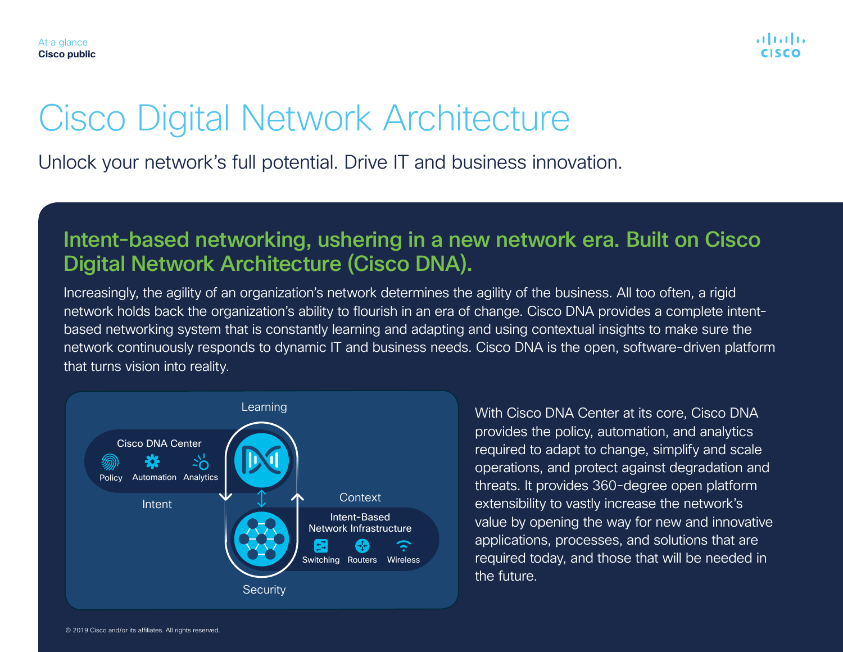

# Cisco Digital Network Architecture

Unlock your network's full potential. Drive IT and business innovation.

### Intent-based networking, ushering in a new network era. Built on Cisco Digital Network Architecture (Cisco DNA).

Increasingly, the agility of an organization's network determines the agility of the business. All too often, a rigid network holds back the organization's ability to flourish in an era of change. Cisco DNA provides a complete intentbased networking system that is constantly learning and adapting and using contextual insights to make sure the network continuously responds to dynamic IT and business needs. Cisco DNA is the open, software-driven platform that turns vision into reality.



With Cisco DNA Center at its core, Cisco DNA provides the policy, automation, and analytics required to adapt to change, simplify and scale operations, and protect against degradation and threats. It provides 360-degree open platform extensibility to vastly increase the network's value by opening the way for new and innovative applications, processes, and solutions that are required today, and those that will be needed in the future.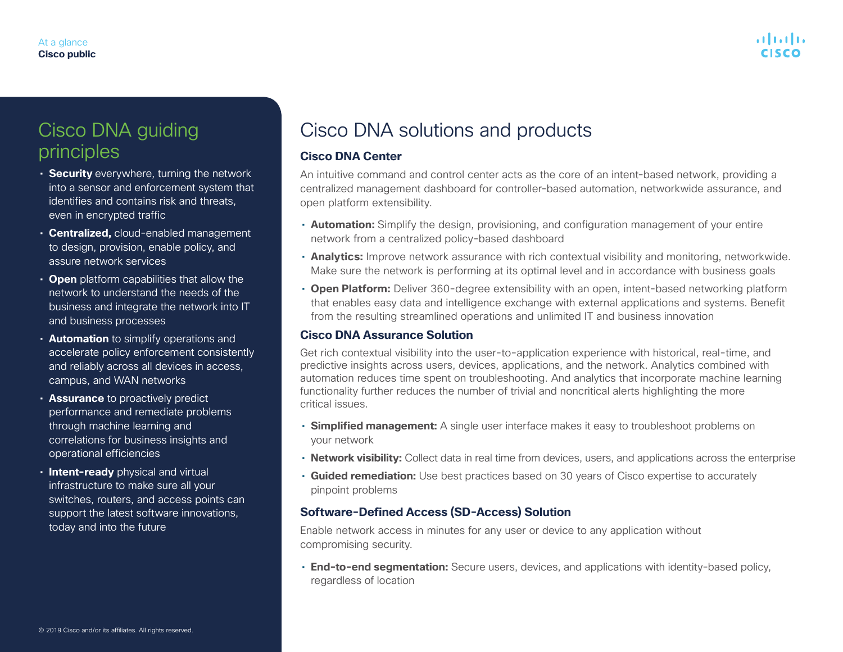### Cisco DNA guiding principles

- **Security** everywhere, turning the network into a sensor and enforcement system that identifies and contains risk and threats, even in encrypted traffic
- **Centralized,** cloud-enabled management to design, provision, enable policy, and assure network services
- **Open** platform capabilities that allow the network to understand the needs of the business and integrate the network into IT and business processes
- **Automation** to simplify operations and accelerate policy enforcement consistently and reliably across all devices in access, campus, and WAN networks
- **Assurance** to proactively predict performance and remediate problems through machine learning and correlations for business insights and operational efficiencies
- **Intent-ready** physical and virtual infrastructure to make sure all your switches, routers, and access points can support the latest software innovations, today and into the future

## Cisco DNA solutions and products

### **Cisco DNA Center**

An intuitive command and control center acts as the core of an intent-based network, providing a centralized management dashboard for controller-based automation, networkwide assurance, and open platform extensibility.

- **Automation:** Simplify the design, provisioning, and configuration management of your entire network from a centralized policy-based dashboard
- **Analytics:** Improve network assurance with rich contextual visibility and monitoring, networkwide. Make sure the network is performing at its optimal level and in accordance with business goals
- **Open Platform:** Deliver 360-degree extensibility with an open, intent-based networking platform that enables easy data and intelligence exchange with external applications and systems. Benefit from the resulting streamlined operations and unlimited IT and business innovation

### **Cisco DNA Assurance Solution**

Get rich contextual visibility into the user-to-application experience with historical, real-time, and predictive insights across users, devices, applications, and the network. Analytics combined with automation reduces time spent on troubleshooting. And analytics that incorporate machine learning functionality further reduces the number of trivial and noncritical alerts highlighting the more critical issues.

- **Simplified management:** A single user interface makes it easy to troubleshoot problems on your network
- **Network visibility:** Collect data in real time from devices, users, and applications across the enterprise
- **Guided remediation:** Use best practices based on 30 years of Cisco expertise to accurately pinpoint problems

### **Software-Defined Access (SD-Access) Solution**

Enable network access in minutes for any user or device to any application without compromising security.

• **End-to-end segmentation:** Secure users, devices, and applications with identity-based policy, regardless of location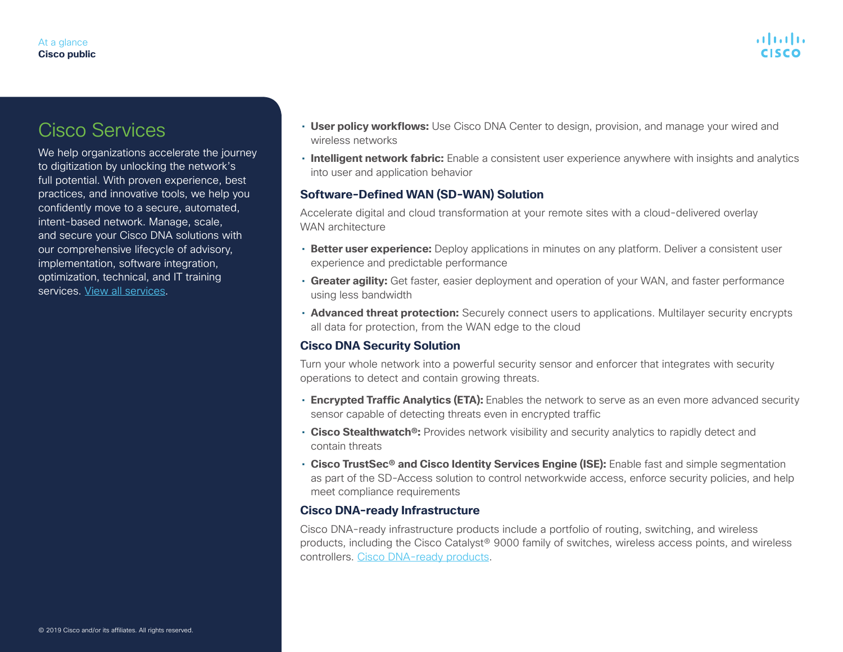### Cisco Services

We help organizations accelerate the journey to digitization by unlocking the network's full potential. With proven experience, best practices, and innovative tools, we help you confidently move to a secure, automated, intent-based network. Manage, scale, and secure your Cisco DNA solutions with our comprehensive lifecycle of advisory, implementation, software integration, optimization, technical, and IT training services. [View all services](https://www.cisco.com/c/en/us/solutions/enterprise-networks/service-listing.html).

- **User policy workflows:** Use Cisco DNA Center to design, provision, and manage your wired and wireless networks
- **Intelligent network fabric:** Enable a consistent user experience anywhere with insights and analytics into user and application behavior

### **Software-Defined WAN (SD-WAN) Solution**

Accelerate digital and cloud transformation at your remote sites with a cloud-delivered overlay WAN architecture

- **Better user experience:** Deploy applications in minutes on any platform. Deliver a consistent user experience and predictable performance
- **Greater agility:** Get faster, easier deployment and operation of your WAN, and faster performance using less bandwidth
- **Advanced threat protection:** Securely connect users to applications. Multilayer security encrypts all data for protection, from the WAN edge to the cloud

### **Cisco DNA Security Solution**

Turn your whole network into a powerful security sensor and enforcer that integrates with security operations to detect and contain growing threats.

- **Encrypted Traffic Analytics (ETA):** Enables the network to serve as an even more advanced security sensor capable of detecting threats even in encrypted traffic
- **Cisco Stealthwatch®:** Provides network visibility and security analytics to rapidly detect and contain threats
- **Cisco TrustSec® and Cisco Identity Services Engine (ISE):** Enable fast and simple segmentation as part of the SD-Access solution to control networkwide access, enforce security policies, and help meet compliance requirements

#### **Cisco DNA-ready Infrastructure**

Cisco DNA-ready infrastructure products include a portfolio of routing, switching, and wireless products, including the Cisco Catalyst® 9000 family of switches, wireless access points, and wireless controllers. [Cisco DNA-ready products.](https://ebooks.cisco.com/story/5cae9effe9705078f1b42516#!/page/1)